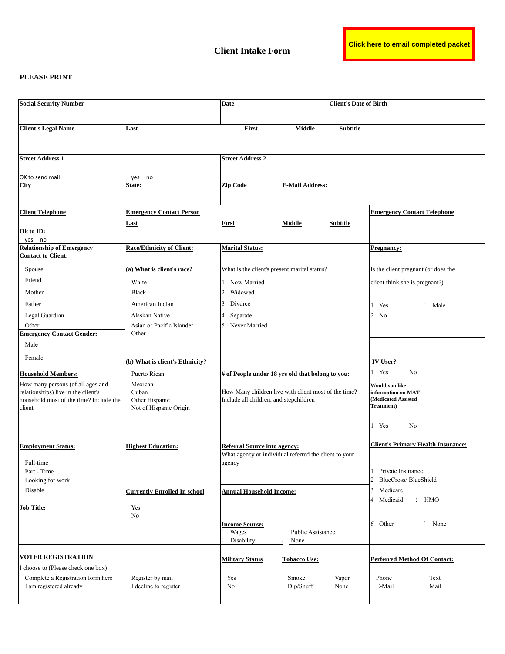## **PLEASE PRINT**

| <b>Social Security Number</b>                                                                                                 |                                                              | Date                                                                                                   |                           | <b>Client's Date of Birth</b> |                                                                           |
|-------------------------------------------------------------------------------------------------------------------------------|--------------------------------------------------------------|--------------------------------------------------------------------------------------------------------|---------------------------|-------------------------------|---------------------------------------------------------------------------|
| <b>Client's Legal Name</b>                                                                                                    | Last                                                         | First                                                                                                  | <b>Middle</b>             | <b>Subtitle</b>               |                                                                           |
| <b>Street Address 1</b>                                                                                                       |                                                              | <b>Street Address 2</b>                                                                                |                           |                               |                                                                           |
|                                                                                                                               |                                                              |                                                                                                        |                           |                               |                                                                           |
| OK to send mail:<br><b>City</b>                                                                                               | no<br>yes<br><b>State:</b>                                   | <b>Zip Code</b>                                                                                        | <b>E-Mail Address:</b>    |                               |                                                                           |
|                                                                                                                               |                                                              |                                                                                                        |                           |                               |                                                                           |
| <b>Client Telephone</b>                                                                                                       | <b>Emergency Contact Person</b>                              |                                                                                                        |                           |                               | <b>Emergency Contact Telephone</b>                                        |
| Ok to ID:<br>yes no                                                                                                           | <u>Last</u>                                                  | First                                                                                                  | Middle                    | Subtitle                      |                                                                           |
| <b>Relationship of Emergency</b><br><b>Contact to Client:</b>                                                                 | <b>Race/Ethnicity of Client:</b>                             | <b>Marital Status:</b>                                                                                 |                           |                               | <b>Pregnancy:</b>                                                         |
| Spouse                                                                                                                        | (a) What is client's race?                                   | What is the client's present marital status?                                                           |                           |                               | Is the client pregnant (or does the                                       |
| Friend                                                                                                                        | White                                                        | Now Married<br>$\mathbf{1}$                                                                            |                           |                               | client think she is pregnant?)                                            |
| Mother                                                                                                                        | <b>Black</b>                                                 | $\overline{2}$<br>Widowed                                                                              |                           |                               |                                                                           |
| Father                                                                                                                        | American Indian                                              | 3<br>Divorce                                                                                           |                           |                               | Male<br>Yes                                                               |
| Legal Guardian                                                                                                                | Alaskan Native                                               | Separate                                                                                               |                           |                               | 2<br>N <sub>0</sub>                                                       |
| Other                                                                                                                         | Asian or Pacific Islander                                    | Never Married                                                                                          |                           |                               |                                                                           |
| <b>Emergency Contact Gender:</b>                                                                                              | Other                                                        |                                                                                                        |                           |                               |                                                                           |
| Male                                                                                                                          |                                                              |                                                                                                        |                           |                               |                                                                           |
| Female                                                                                                                        | (b) What is client's Ethnicity?                              |                                                                                                        |                           |                               | <b>IV User?</b>                                                           |
| <b>Household Members:</b>                                                                                                     | Puerto Rican                                                 | # of People under 18 yrs old that belong to you:                                                       |                           |                               | 1 Yes<br>N <sub>0</sub>                                                   |
| How many persons (of all ages and<br>relationships) live in the client's<br>household most of the time? Include the<br>client | Mexican<br>Cuban<br>Other Hispanic<br>Not of Hispanic Origin | How Many children live with client most of the time?<br>Include all children, and stepchildren         |                           |                               | Would you like<br>information on MAT<br>(Medicated Assisted<br>Treatment) |
|                                                                                                                               |                                                              |                                                                                                        |                           |                               | 1 Yes<br>No                                                               |
| <b>Employment Status:</b><br>Full-time<br>Part - Time                                                                         | <b>Highest Education:</b>                                    | <b>Referral Source into agency:</b><br>What agency or individual referred the client to your<br>agency |                           |                               | <b>Client's Primary Health Insurance:</b><br>Private Insurance            |
| Looking for work                                                                                                              |                                                              |                                                                                                        |                           |                               | $\overline{2}$<br>BlueCross/BlueShield                                    |
| Disable                                                                                                                       | <b>Currently Enrolled In school</b>                          | <b>Annual Household Income:</b>                                                                        |                           |                               | Medicare<br>3<br>$:$ HMO<br>4<br>Medicaid                                 |
| <b>Job Title:</b>                                                                                                             | Yes<br>No                                                    |                                                                                                        |                           |                               |                                                                           |
|                                                                                                                               |                                                              | <b>Income Sourse:</b><br>Wages<br>Disability                                                           | Public Assistance<br>None |                               | 6 Other<br>None                                                           |
| <b>VOTER REGISTRATION</b>                                                                                                     |                                                              | <b>Military Status</b>                                                                                 | <b>Tobacco Use:</b>       |                               | <b>Perferred Method Of Contact:</b>                                       |
| I choose to (Please check one box)                                                                                            |                                                              |                                                                                                        |                           |                               |                                                                           |
| Complete a Registration form here<br>I am registered already                                                                  | Register by mail<br>I decline to register                    | Yes<br>N <sub>o</sub>                                                                                  | Smoke<br>Dip/Snuff        | Vapor<br>None                 | Phone<br>Text<br>E-Mail<br>Mail                                           |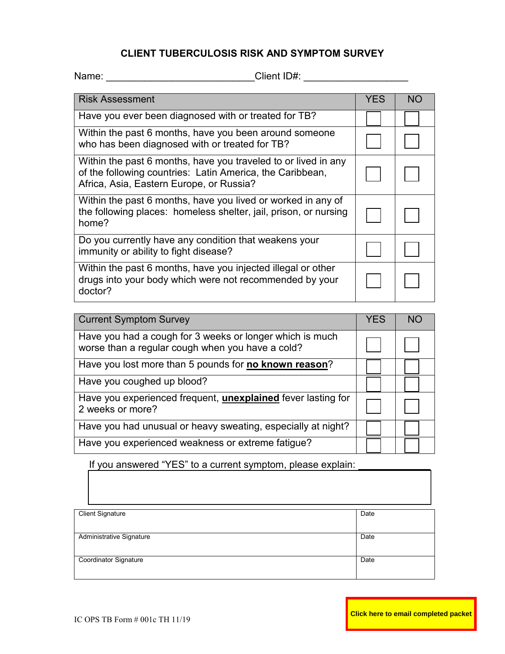## **CLIENT TUBERCULOSIS RISK AND SYMPTOM SURVEY**

Name: \_\_\_\_\_\_\_\_\_\_\_\_\_\_\_\_\_\_\_\_\_\_\_\_\_\_\_\_\_\_\_\_\_Client ID#: \_\_\_\_\_\_\_\_\_\_\_\_\_\_\_\_\_\_\_\_\_\_\_\_\_\_\_\_\_

| <b>Risk Assessment</b>                                                                                                                                                  | <b>YES</b> | NΟ |
|-------------------------------------------------------------------------------------------------------------------------------------------------------------------------|------------|----|
| Have you ever been diagnosed with or treated for TB?                                                                                                                    |            |    |
| Within the past 6 months, have you been around someone<br>who has been diagnosed with or treated for TB?                                                                |            |    |
| Within the past 6 months, have you traveled to or lived in any<br>of the following countries: Latin America, the Caribbean,<br>Africa, Asia, Eastern Europe, or Russia? |            |    |
| Within the past 6 months, have you lived or worked in any of<br>the following places: homeless shelter, jail, prison, or nursing<br>home?                               |            |    |
| Do you currently have any condition that weakens your<br>immunity or ability to fight disease?                                                                          |            |    |
| Within the past 6 months, have you injected illegal or other<br>drugs into your body which were not recommended by your<br>doctor?                                      |            |    |

| <b>Current Symptom Survey</b>                                                                                | <b>YES</b> | <b>NC</b> |
|--------------------------------------------------------------------------------------------------------------|------------|-----------|
| Have you had a cough for 3 weeks or longer which is much<br>worse than a regular cough when you have a cold? |            |           |
| Have you lost more than 5 pounds for no known reason?                                                        |            |           |
| Have you coughed up blood?                                                                                   |            |           |
| Have you experienced frequent, <i>unexplained</i> fever lasting for<br>2 weeks or more?                      |            |           |
| Have you had unusual or heavy sweating, especially at night?                                                 |            |           |
| Have you experienced weakness or extreme fatigue?                                                            |            |           |

If you answered "YES" to a current symptom, please explain:

| <b>Client Signature</b>      | Date |
|------------------------------|------|
|                              |      |
|                              |      |
| Administrative Signature     | Date |
|                              |      |
|                              |      |
| <b>Coordinator Signature</b> | Date |
|                              |      |
|                              |      |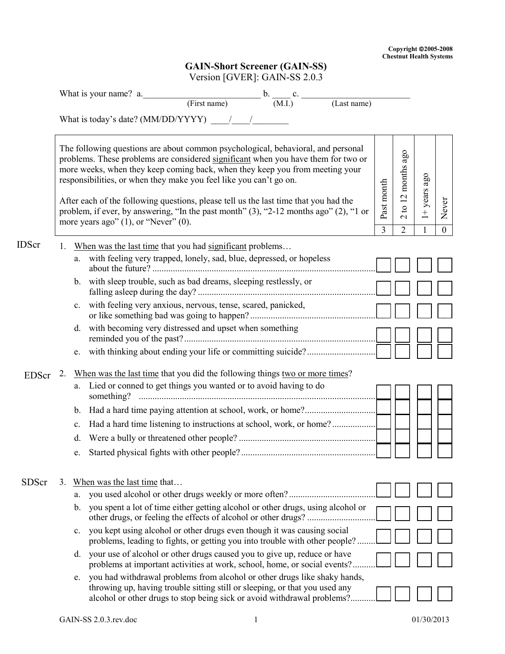## **GAIN-Short Screener (GAIN-SS)** Version [GVER]: GAIN-SS 2.0.3

|              |    | $\mathbf{V}$ crostom $\mathbf{V}$ $\mathbf{V}$ $\mathbf{L}$ $\mathbf{N}$ $\mathbf{V}$ . Of $\mathbf{V}$ and $\mathbf{V}$ are $\mathbf{V}$ .<br>What is your name? a. $\underbrace{\hspace{2cm}}$ (First name) b. $\underbrace{\hspace{2cm}}$ c. $\underbrace{\hspace{2cm}}$                                                                                                                                                                                                                                                                                |                              |                                                                             |                |                       |
|--------------|----|------------------------------------------------------------------------------------------------------------------------------------------------------------------------------------------------------------------------------------------------------------------------------------------------------------------------------------------------------------------------------------------------------------------------------------------------------------------------------------------------------------------------------------------------------------|------------------------------|-----------------------------------------------------------------------------|----------------|-----------------------|
|              |    | (Last name)                                                                                                                                                                                                                                                                                                                                                                                                                                                                                                                                                |                              |                                                                             |                |                       |
|              |    | What is today's date? (MM/DD/YYYY) / /                                                                                                                                                                                                                                                                                                                                                                                                                                                                                                                     |                              |                                                                             |                |                       |
|              |    | The following questions are about common psychological, behavioral, and personal<br>problems. These problems are considered significant when you have them for two or<br>more weeks, when they keep coming back, when they keep you from meeting your<br>responsibilities, or when they make you feel like you can't go on.<br>After each of the following questions, please tell us the last time that you had the<br>problem, if ever, by answering, "In the past month" (3), "2-12 months ago" (2), "1 or<br>more years ago" $(1)$ , or "Never" $(0)$ . | Past month<br>$\overline{3}$ | 12 months ago<br>$\mathbf{c}$<br>$\overline{\mathcal{C}}$<br>$\overline{2}$ | $1+$ years ago | Never<br>$\mathbf{0}$ |
| <b>IDScr</b> | 1. | When was the last time that you had significant problems                                                                                                                                                                                                                                                                                                                                                                                                                                                                                                   |                              |                                                                             |                |                       |
|              |    | a. with feeling very trapped, lonely, sad, blue, depressed, or hopeless                                                                                                                                                                                                                                                                                                                                                                                                                                                                                    |                              |                                                                             |                |                       |
|              |    | with sleep trouble, such as bad dreams, sleeping restlessly, or<br>$\mathbf{b}$ .                                                                                                                                                                                                                                                                                                                                                                                                                                                                          |                              |                                                                             |                |                       |
|              |    | with feeling very anxious, nervous, tense, scared, panicked,<br>$\mathbf{c}$ .                                                                                                                                                                                                                                                                                                                                                                                                                                                                             |                              |                                                                             |                |                       |
|              |    | with becoming very distressed and upset when something<br>d.                                                                                                                                                                                                                                                                                                                                                                                                                                                                                               |                              |                                                                             |                |                       |
|              |    | e.                                                                                                                                                                                                                                                                                                                                                                                                                                                                                                                                                         |                              |                                                                             |                |                       |
| <b>EDScr</b> | 2. | When was the last time that you did the following things two or more times?<br>a. Lied or conned to get things you wanted or to avoid having to do                                                                                                                                                                                                                                                                                                                                                                                                         |                              |                                                                             |                |                       |
|              |    | b.                                                                                                                                                                                                                                                                                                                                                                                                                                                                                                                                                         |                              |                                                                             |                |                       |
|              |    | $\mathbf{c}$ .                                                                                                                                                                                                                                                                                                                                                                                                                                                                                                                                             |                              |                                                                             |                |                       |
|              |    | d.                                                                                                                                                                                                                                                                                                                                                                                                                                                                                                                                                         |                              |                                                                             |                |                       |
|              |    | e.                                                                                                                                                                                                                                                                                                                                                                                                                                                                                                                                                         |                              |                                                                             |                |                       |
| <b>SDScr</b> | 3. | When was the last time that<br>you used alcohol or other drugs weekly or more often?<br>a.<br>you spent a lot of time either getting alcohol or other drugs, using alcohol or<br>b.                                                                                                                                                                                                                                                                                                                                                                        |                              |                                                                             |                |                       |
|              |    | other drugs, or feeling the effects of alcohol or other drugs?<br>you kept using alcohol or other drugs even though it was causing social<br>c.                                                                                                                                                                                                                                                                                                                                                                                                            |                              |                                                                             |                |                       |
|              |    | problems, leading to fights, or getting you into trouble with other people?                                                                                                                                                                                                                                                                                                                                                                                                                                                                                |                              |                                                                             |                |                       |
|              |    | your use of alcohol or other drugs caused you to give up, reduce or have<br>d.<br>problems at important activities at work, school, home, or social events?.                                                                                                                                                                                                                                                                                                                                                                                               |                              |                                                                             |                |                       |
|              |    | you had withdrawal problems from alcohol or other drugs like shaky hands,<br>e.<br>throwing up, having trouble sitting still or sleeping, or that you used any<br>alcohol or other drugs to stop being sick or avoid withdrawal problems?                                                                                                                                                                                                                                                                                                                  |                              |                                                                             |                |                       |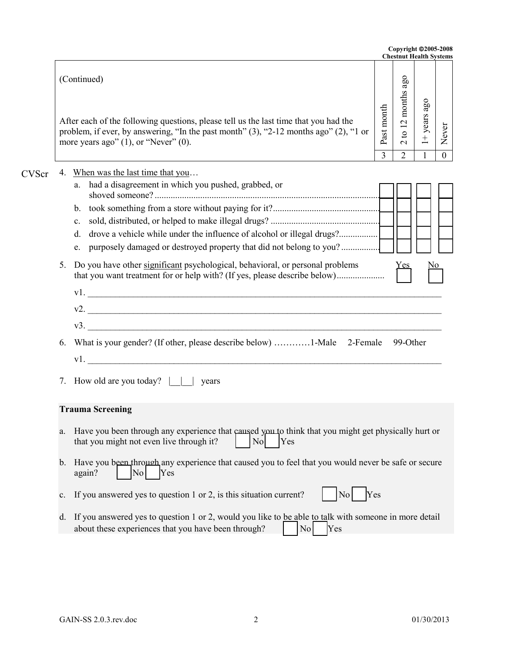|              |          |                                                                                                                                                                                                                                                                                                                                                                                                                                       |            | Copyright @2005-2008<br><b>Chestnut Health Systems</b> |                |                |
|--------------|----------|---------------------------------------------------------------------------------------------------------------------------------------------------------------------------------------------------------------------------------------------------------------------------------------------------------------------------------------------------------------------------------------------------------------------------------------|------------|--------------------------------------------------------|----------------|----------------|
|              |          | (Continued)<br>After each of the following questions, please tell us the last time that you had the<br>problem, if ever, by answering, "In the past month" (3), "2-12 months ago" (2), "1 or<br>more years ago" $(1)$ , or "Never" $(0)$ .                                                                                                                                                                                            | Past month | $2$ to 12 months ago                                   | $1+$ years ago | Never          |
|              |          |                                                                                                                                                                                                                                                                                                                                                                                                                                       | 3          | $\overline{2}$                                         | 1              | $\overline{0}$ |
| <b>CVScr</b> | 4.<br>5. | When was the last time that you<br>a. had a disagreement in which you pushed, grabbed, or<br>c.<br>drove a vehicle while under the influence of alcohol or illegal drugs?<br>d.<br>e. purposely damaged or destroyed property that did not belong to you?<br>Do you have other significant psychological, behavioral, or personal problems<br>that you want treatment for or help with? (If yes, please describe below)<br>v1.<br>v2. |            | <u>Yes,</u>                                            | No             |                |
|              |          | v3.                                                                                                                                                                                                                                                                                                                                                                                                                                   |            |                                                        |                |                |
|              | 6.<br>7. | What is your gender? (If other, please describe below) 1-Male 2-Female<br>v1.<br>How old are you today? $\vert \vert$<br>years                                                                                                                                                                                                                                                                                                        |            | 99-Other                                               |                |                |
|              |          | <b>Trauma Screening</b>                                                                                                                                                                                                                                                                                                                                                                                                               |            |                                                        |                |                |
|              | a.       | Have you been through any experience that caused you to think that you might get physically hurt or<br>that you might not even live through it?<br>N <sub>o</sub><br>Yes                                                                                                                                                                                                                                                              |            |                                                        |                |                |
|              |          | b. Have you been through any experience that caused you to feel that you would never be safe or secure<br>again?<br>No<br>Yes                                                                                                                                                                                                                                                                                                         |            |                                                        |                |                |
|              | c.       | If you answered yes to question 1 or 2, is this situation current?<br>Yes<br>No                                                                                                                                                                                                                                                                                                                                                       |            |                                                        |                |                |
|              |          | d. If you answered yes to question 1 or 2, would you like to be able to talk with someone in more detail<br>about these experiences that you have been through?<br>Yes<br>$\overline{N}$                                                                                                                                                                                                                                              |            |                                                        |                |                |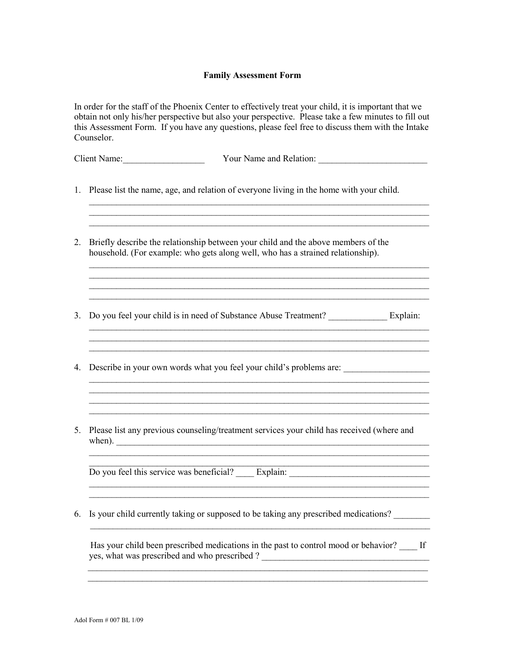## **Family Assessment Form**

In order for the staff of the Phoenix Center to effectively treat your child, it is important that we obtain not only his/her perspective but also your perspective. Please take a few minutes to fill out this Assessment Form. If you have any questions, please feel free to discuss them with the Intake Counselor.

 $\_$ 

\_\_\_\_\_\_\_\_\_\_\_\_\_\_\_\_\_\_\_\_\_\_\_\_\_\_\_\_\_\_\_\_\_\_\_\_\_\_\_\_\_\_\_\_\_\_\_\_\_\_\_\_\_\_\_\_\_\_\_\_\_\_\_\_\_\_\_\_\_\_\_\_\_\_\_

 $\_$ 

\_\_\_\_\_\_\_\_\_\_\_\_\_\_\_\_\_\_\_\_\_\_\_\_\_\_\_\_\_\_\_\_\_\_\_\_\_\_\_\_\_\_\_\_\_\_\_\_\_\_\_\_\_\_\_\_\_\_\_\_\_\_\_\_\_\_\_\_\_\_\_\_\_\_\_

 $\_$ 

 $\_$ 

 $\mathcal{L}_\text{max}$  , and the contribution of the contribution of the contribution of the contribution of the contribution of the contribution of the contribution of the contribution of the contribution of the contribution of t

 $\mathcal{L}_\mathcal{L} = \{ \mathcal{L}_\mathcal{L} = \{ \mathcal{L}_\mathcal{L} = \{ \mathcal{L}_\mathcal{L} = \{ \mathcal{L}_\mathcal{L} = \{ \mathcal{L}_\mathcal{L} = \{ \mathcal{L}_\mathcal{L} = \{ \mathcal{L}_\mathcal{L} = \{ \mathcal{L}_\mathcal{L} = \{ \mathcal{L}_\mathcal{L} = \{ \mathcal{L}_\mathcal{L} = \{ \mathcal{L}_\mathcal{L} = \{ \mathcal{L}_\mathcal{L} = \{ \mathcal{L}_\mathcal{L} = \{ \mathcal{L}_\mathcal{$ 

 $\mathcal{L}_\text{max}$  , and the set of the set of the set of the set of the set of the set of the set of the set of the set of the set of the set of the set of the set of the set of the set of the set of the set of the set of the  $\_$ 

\_\_\_\_\_\_\_\_\_\_\_\_\_\_\_\_\_\_\_\_\_\_\_\_\_\_\_\_\_\_\_\_\_\_\_\_\_\_\_\_\_\_\_\_\_\_\_\_\_\_\_\_\_\_\_\_\_\_\_\_\_\_\_\_\_\_\_\_\_\_\_\_\_\_\_

| Client<br>Name: | Your Name and Relation: |  |
|-----------------|-------------------------|--|
|                 |                         |  |

- 1. Please list the name, age, and relation of everyone living in the home with your child.
- 2. Briefly describe the relationship between your child and the above members of the household. (For example: who gets along well, who has a strained relationship).
- 3. Do you feel your child is in need of Substance Abuse Treatment? \_\_\_\_\_\_\_\_\_\_\_\_\_ Explain:
- 4. Describe in your own words what you feel your child's problems are:
- 5. Please list any previous counseling/treatment services your child has received (where and  $\mathbf{when}$ ).

Do you feel this service was beneficial? \_\_\_\_\_ Explain: \_\_\_\_\_\_\_\_\_\_\_\_\_\_\_\_\_\_\_\_\_\_\_\_ \_\_\_\_\_\_\_\_\_\_\_\_\_\_\_\_\_\_\_\_\_\_\_\_\_\_\_\_\_\_\_\_\_\_\_\_\_\_\_\_\_\_\_\_\_\_\_\_\_\_\_\_\_\_\_\_\_\_\_\_\_\_\_\_\_\_\_\_\_\_\_\_\_\_\_

6. Is your child currently taking or supposed to be taking any prescribed medications?

Has your child been prescribed medications in the past to control mood or behavior? If yes, what was prescribed and who prescribed ? \_\_\_\_\_\_\_\_\_\_\_\_\_\_\_\_\_\_\_\_\_\_\_\_\_\_\_\_\_\_\_\_\_\_\_\_\_

 $\mathcal{L}_\text{max}$  , and the contribution of the contribution of the contribution of the contribution of the contribution of the contribution of the contribution of the contribution of the contribution of the contribution of t

 $\mathcal{L}_\text{max} = \mathcal{L}_\text{max} = \mathcal{L}_\text{max} = \mathcal{L}_\text{max} = \mathcal{L}_\text{max} = \mathcal{L}_\text{max} = \mathcal{L}_\text{max} = \mathcal{L}_\text{max} = \mathcal{L}_\text{max} = \mathcal{L}_\text{max} = \mathcal{L}_\text{max} = \mathcal{L}_\text{max} = \mathcal{L}_\text{max} = \mathcal{L}_\text{max} = \mathcal{L}_\text{max} = \mathcal{L}_\text{max} = \mathcal{L}_\text{max} = \mathcal{L}_\text{max} = \mathcal{$